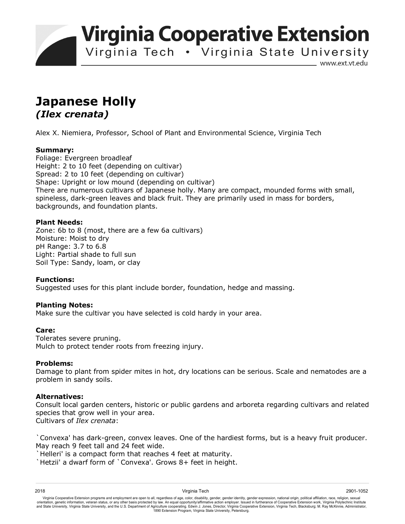**Virginia Cooperative Extension** 

Virginia Tech . Virginia State University

www.ext.vt.edu

# **Japanese Holly**  *(Ilex crenata)*

Alex X. Niemiera, Professor, School of Plant and Environmental Science, Virginia Tech

## **Summary:**

Foliage: Evergreen broadleaf Height: 2 to 10 feet (depending on cultivar) Spread: 2 to 10 feet (depending on cultivar) Shape: Upright or low mound (depending on cultivar) There are numerous cultivars of Japanese holly. Many are compact, mounded forms with small, spineless, dark-green leaves and black fruit. They are primarily used in mass for borders, backgrounds, and foundation plants.

### **Plant Needs:**

Zone: 6b to 8 (most, there are a few 6a cultivars) Moisture: Moist to dry pH Range: 3.7 to 6.8 Light: Partial shade to full sun Soil Type: Sandy, loam, or clay

## **Functions:**

Suggested uses for this plant include border, foundation, hedge and massing.

#### **Planting Notes:**

Make sure the cultivar you have selected is cold hardy in your area.

#### **Care:**

Tolerates severe pruning. Mulch to protect tender roots from freezing injury.

#### **Problems:**

Damage to plant from spider mites in hot, dry locations can be serious. Scale and nematodes are a problem in sandy soils.

#### **Alternatives:**

Consult local garden centers, historic or public gardens and arboreta regarding cultivars and related species that grow well in your area. Cultivars of *Ilex crenata*:

`Convexa' has dark-green, convex leaves. One of the hardiest forms, but is a heavy fruit producer. May reach 9 feet tall and 24 feet wide.

`Helleri' is a compact form that reaches 4 feet at maturity.

`Hetzii' a dwarf form of `Convexa'. Grows 8+ feet in height.